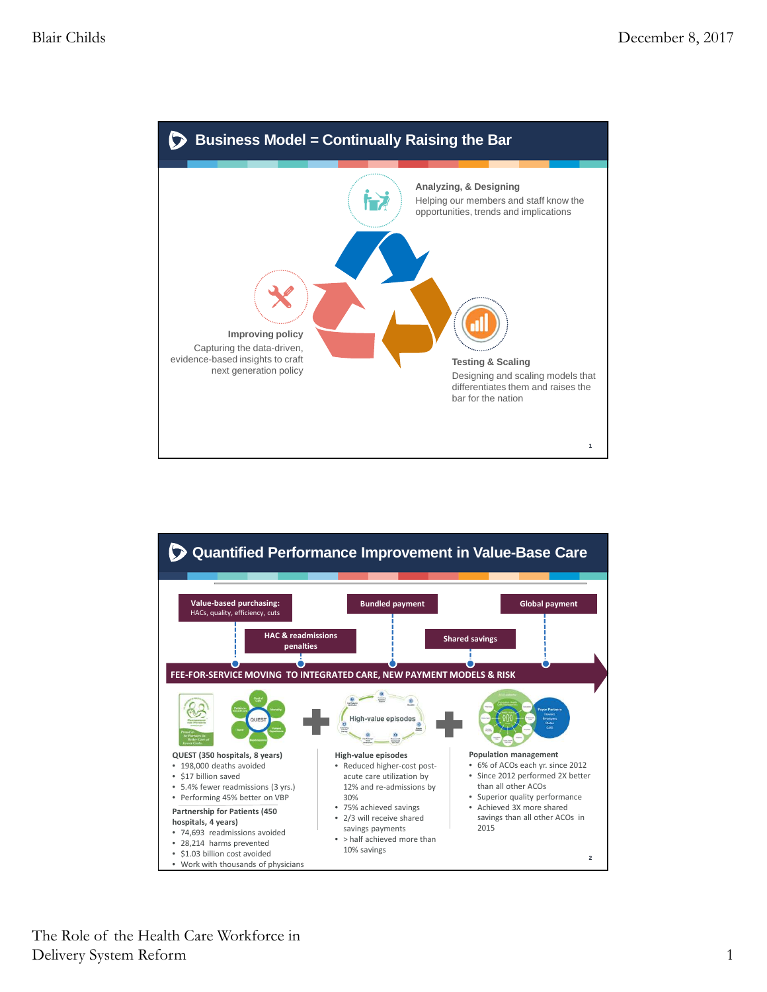

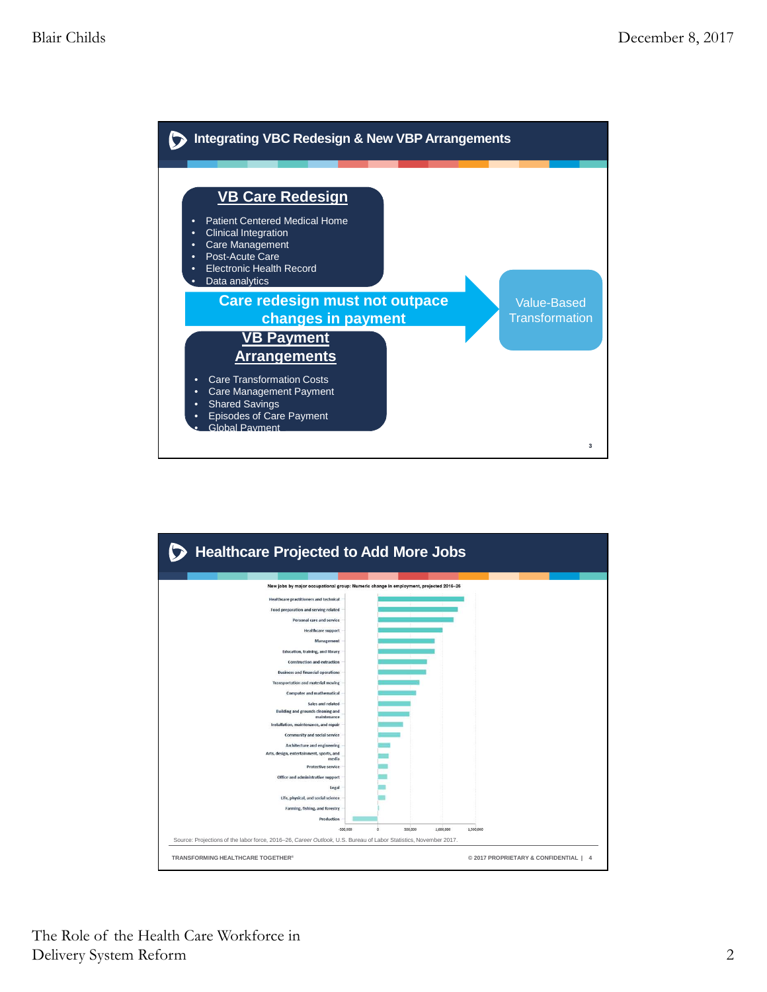

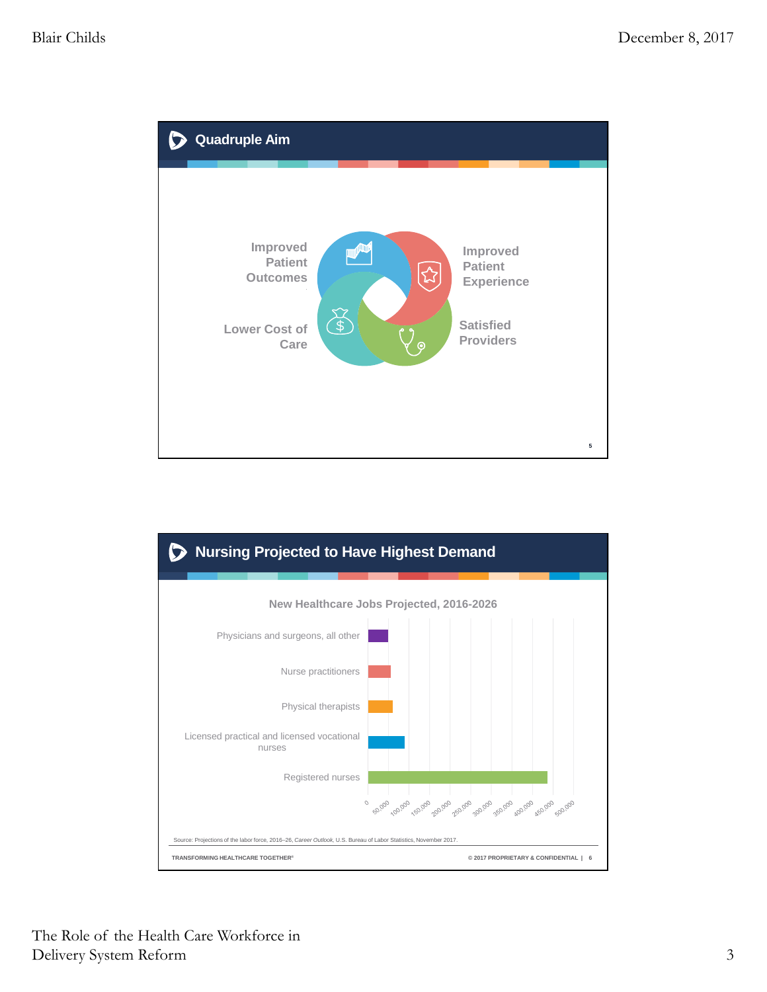

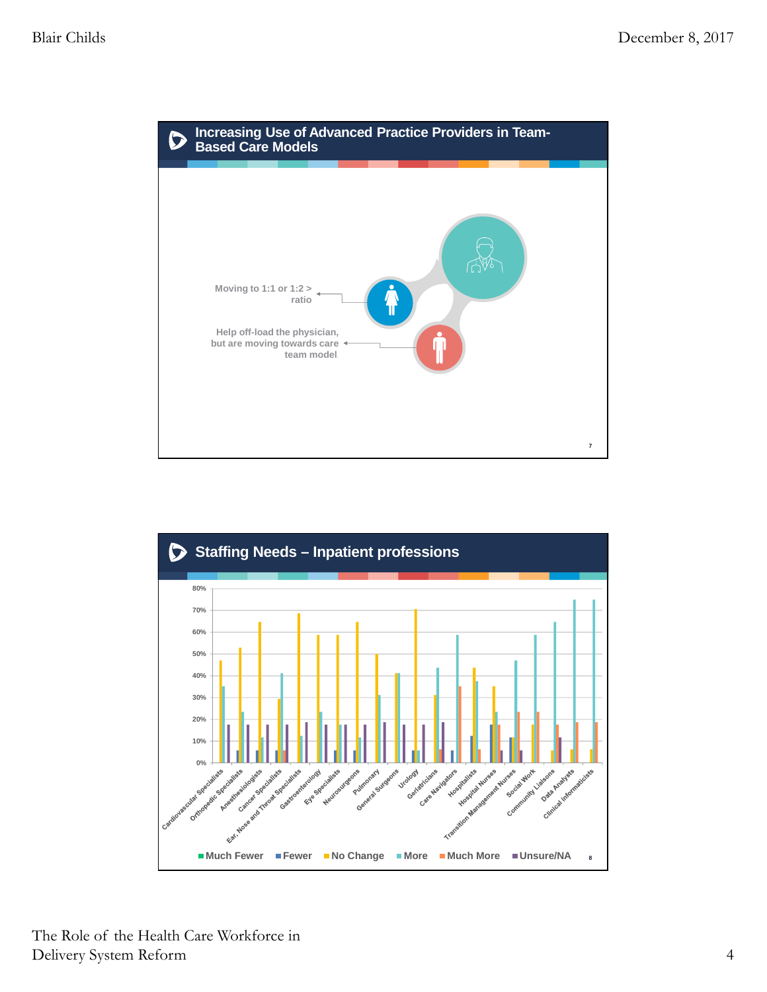